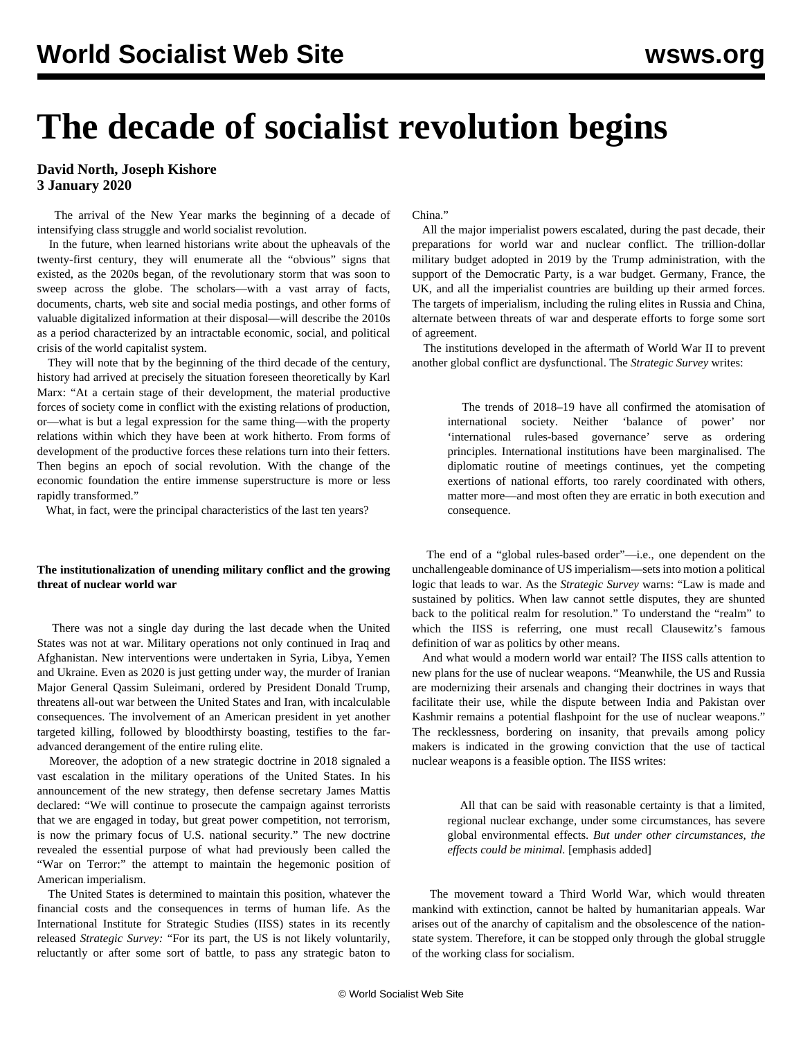# **The decade of socialist revolution begins**

**David North, Joseph Kishore 3 January 2020**

 The arrival of the New Year marks the beginning of a decade of intensifying class struggle and world socialist revolution.

 In the future, when learned historians write about the upheavals of the twenty-first century, they will enumerate all the "obvious" signs that existed, as the 2020s began, of the revolutionary storm that was soon to sweep across the globe. The scholars—with a vast array of facts, documents, charts, web site and social media postings, and other forms of valuable digitalized information at their disposal—will describe the 2010s as a period characterized by an intractable economic, social, and political crisis of the world capitalist system.

 They will note that by the beginning of the third decade of the century, history had arrived at precisely the situation foreseen theoretically by Karl Marx: "At a certain stage of their development, the material productive forces of society come in conflict with the existing relations of production, or—what is but a legal expression for the same thing—with the property relations within which they have been at work hitherto. From forms of development of the productive forces these relations turn into their fetters. Then begins an epoch of social revolution. With the change of the economic foundation the entire immense superstructure is more or less rapidly transformed."

What, in fact, were the principal characteristics of the last ten years?

# **The institutionalization of unending military conflict and the growing threat of nuclear world war**

 There was not a single day during the last decade when the United States was not at war. Military operations not only continued in Iraq and Afghanistan. New interventions were undertaken in Syria, Libya, Yemen and Ukraine. Even as 2020 is just getting under way, the murder of Iranian Major General Qassim Suleimani, ordered by President Donald Trump, threatens all-out war between the United States and Iran, with incalculable consequences. The involvement of an American president in yet another targeted killing, followed by bloodthirsty boasting, testifies to the faradvanced derangement of the entire ruling elite.

 Moreover, the adoption of a new strategic doctrine in 2018 signaled a vast escalation in the military operations of the United States. In his announcement of the new strategy, then defense secretary James Mattis declared: "We will continue to prosecute the campaign against terrorists that we are engaged in today, but great power competition, not terrorism, is now the primary focus of U.S. national security." The new doctrine revealed the essential purpose of what had previously been called the "War on Terror:" the attempt to maintain the hegemonic position of American imperialism.

 The United States is determined to maintain this position, whatever the financial costs and the consequences in terms of human life. As the International Institute for Strategic Studies (IISS) states in its recently released *Strategic Survey:* "For its part, the US is not likely voluntarily, reluctantly or after some sort of battle, to pass any strategic baton to

China."

 All the major imperialist powers escalated, during the past decade, their preparations for world war and nuclear conflict. The trillion-dollar military budget adopted in 2019 by the Trump administration, with the support of the Democratic Party, is a war budget. Germany, France, the UK, and all the imperialist countries are building up their armed forces. The targets of imperialism, including the ruling elites in Russia and China, alternate between threats of war and desperate efforts to forge some sort of agreement.

 The institutions developed in the aftermath of World War II to prevent another global conflict are dysfunctional. The *Strategic Survey* writes:

 The trends of 2018–19 have all confirmed the atomisation of international society. Neither 'balance of power' nor 'international rules-based governance' serve as ordering principles. International institutions have been marginalised. The diplomatic routine of meetings continues, yet the competing exertions of national efforts, too rarely coordinated with others, matter more—and most often they are erratic in both execution and consequence.

 The end of a "global rules-based order"—i.e., one dependent on the unchallengeable dominance of US imperialism—sets into motion a political logic that leads to war. As the *Strategic Survey* warns: "Law is made and sustained by politics. When law cannot settle disputes, they are shunted back to the political realm for resolution." To understand the "realm" to which the IISS is referring, one must recall Clausewitz's famous definition of war as politics by other means.

 And what would a modern world war entail? The IISS calls attention to new plans for the use of nuclear weapons. "Meanwhile, the US and Russia are modernizing their arsenals and changing their doctrines in ways that facilitate their use, while the dispute between India and Pakistan over Kashmir remains a potential flashpoint for the use of nuclear weapons." The recklessness, bordering on insanity, that prevails among policy makers is indicated in the growing conviction that the use of tactical nuclear weapons is a feasible option. The IISS writes:

 All that can be said with reasonable certainty is that a limited, regional nuclear exchange, under some circumstances, has severe global environmental effects. *But under other circumstances, the effects could be minimal.* [emphasis added]

 The movement toward a Third World War, which would threaten mankind with extinction, cannot be halted by humanitarian appeals. War arises out of the anarchy of capitalism and the obsolescence of the nationstate system. Therefore, it can be stopped only through the global struggle of the working class for socialism.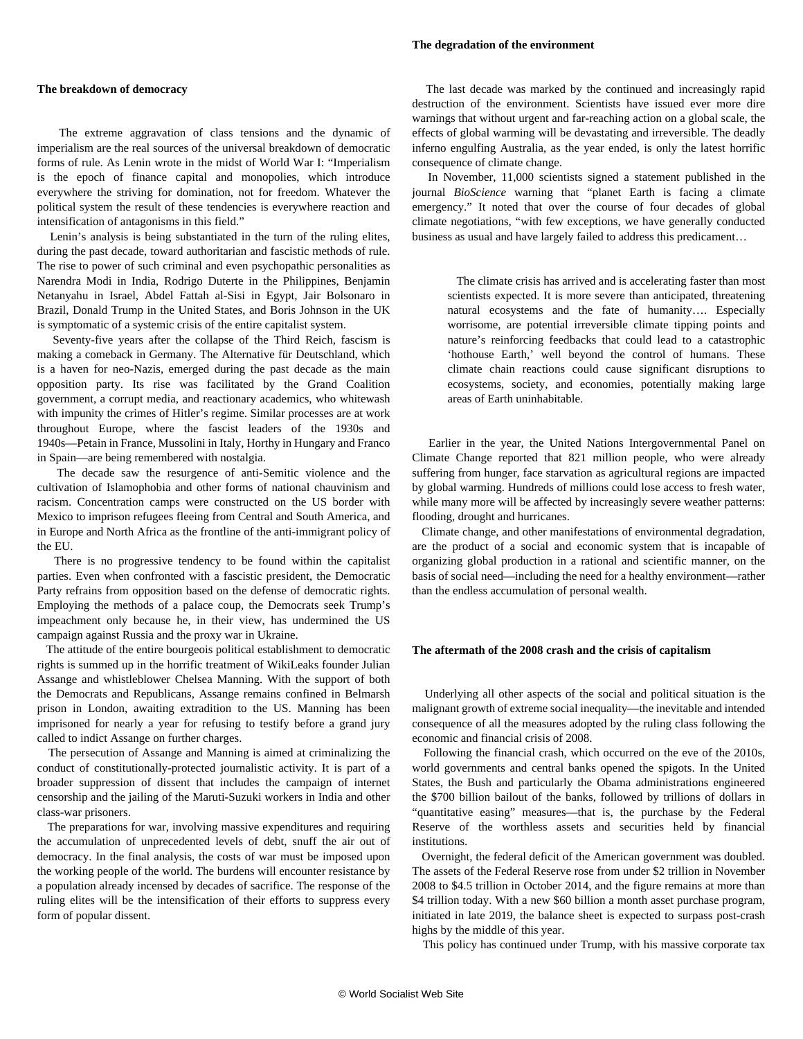#### **The degradation of the environment**

#### **The breakdown of democracy**

 The extreme aggravation of class tensions and the dynamic of imperialism are the real sources of the universal breakdown of democratic forms of rule. As Lenin wrote in the midst of World War I: "Imperialism is the epoch of finance capital and monopolies, which introduce everywhere the striving for domination, not for freedom. Whatever the political system the result of these tendencies is everywhere reaction and intensification of antagonisms in this field."

 Lenin's analysis is being substantiated in the turn of the ruling elites, during the past decade, toward authoritarian and fascistic methods of rule. The rise to power of such criminal and even psychopathic personalities as Narendra Modi in India, Rodrigo Duterte in the Philippines, Benjamin Netanyahu in Israel, Abdel Fattah al-Sisi in Egypt, Jair Bolsonaro in Brazil, Donald Trump in the United States, and Boris Johnson in the UK is symptomatic of a systemic crisis of the entire capitalist system.

 Seventy-five years after the collapse of the Third Reich, fascism is making a comeback in Germany. The Alternative für Deutschland, which is a haven for neo-Nazis, emerged during the past decade as the main opposition party. Its rise was facilitated by the Grand Coalition government, a corrupt media, and reactionary academics, who whitewash with impunity the crimes of Hitler's regime. Similar processes are at work throughout Europe, where the fascist leaders of the 1930s and 1940s—Petain in France, Mussolini in Italy, Horthy in Hungary and Franco in Spain—are being remembered with nostalgia.

 The decade saw the resurgence of anti-Semitic violence and the cultivation of Islamophobia and other forms of national chauvinism and racism. Concentration camps were constructed on the US border with Mexico to imprison refugees fleeing from Central and South America, and in Europe and North Africa as the frontline of the anti-immigrant policy of the EU.

 There is no progressive tendency to be found within the capitalist parties. Even when confronted with a fascistic president, the Democratic Party refrains from opposition based on the defense of democratic rights. Employing the methods of a palace coup, the Democrats seek Trump's impeachment only because he, in their view, has undermined the US campaign against Russia and the proxy war in Ukraine.

 The attitude of the entire bourgeois political establishment to democratic rights is summed up in the horrific treatment of WikiLeaks founder Julian Assange and whistleblower Chelsea Manning. With the support of both the Democrats and Republicans, Assange remains confined in Belmarsh prison in London, awaiting extradition to the US. Manning has been imprisoned for nearly a year for refusing to testify before a grand jury called to indict Assange on further charges.

 The persecution of Assange and Manning is aimed at criminalizing the conduct of constitutionally-protected journalistic activity. It is part of a broader suppression of dissent that includes the campaign of internet censorship and the jailing of the Maruti-Suzuki workers in India and other class-war prisoners.

 The preparations for war, involving massive expenditures and requiring the accumulation of unprecedented levels of debt, snuff the air out of democracy. In the final analysis, the costs of war must be imposed upon the working people of the world. The burdens will encounter resistance by a population already incensed by decades of sacrifice. The response of the ruling elites will be the intensification of their efforts to suppress every form of popular dissent.

 The last decade was marked by the continued and increasingly rapid destruction of the environment. Scientists have issued ever more dire warnings that without urgent and far-reaching action on a global scale, the effects of global warming will be devastating and irreversible. The deadly inferno engulfing Australia, as the year ended, is only the latest horrific consequence of climate change.

 In November, 11,000 scientists signed a statement published in the journal *BioScience* warning that "planet Earth is facing a climate emergency." It noted that over the course of four decades of global climate negotiations, "with few exceptions, we have generally conducted business as usual and have largely failed to address this predicament…

 The climate crisis has arrived and is accelerating faster than most scientists expected. It is more severe than anticipated, threatening natural ecosystems and the fate of humanity…. Especially worrisome, are potential irreversible climate tipping points and nature's reinforcing feedbacks that could lead to a catastrophic 'hothouse Earth,' well beyond the control of humans. These climate chain reactions could cause significant disruptions to ecosystems, society, and economies, potentially making large areas of Earth uninhabitable.

 Earlier in the year, the United Nations Intergovernmental Panel on Climate Change reported that 821 million people, who were already suffering from hunger, face starvation as agricultural regions are impacted by global warming. Hundreds of millions could lose access to fresh water, while many more will be affected by increasingly severe weather patterns: flooding, drought and hurricanes.

 Climate change, and other manifestations of environmental degradation, are the product of a social and economic system that is incapable of organizing global production in a rational and scientific manner, on the basis of social need—including the need for a healthy environment—rather than the endless accumulation of personal wealth.

#### **The aftermath of the 2008 crash and the crisis of capitalism**

 Underlying all other aspects of the social and political situation is the malignant growth of extreme social inequality—the inevitable and intended consequence of all the measures adopted by the ruling class following the economic and financial crisis of 2008.

 Following the financial crash, which occurred on the eve of the 2010s, world governments and central banks opened the spigots. In the United States, the Bush and particularly the Obama administrations engineered the \$700 billion bailout of the banks, followed by trillions of dollars in "quantitative easing" measures—that is, the purchase by the Federal Reserve of the worthless assets and securities held by financial institutions.

 Overnight, the federal deficit of the American government was doubled. The assets of the Federal Reserve rose from under \$2 trillion in November 2008 to \$4.5 trillion in October 2014, and the figure remains at more than \$4 trillion today. With a new \$60 billion a month asset purchase program, initiated in late 2019, the balance sheet is expected to surpass post-crash highs by the middle of this year.

This policy has continued under Trump, with his massive corporate tax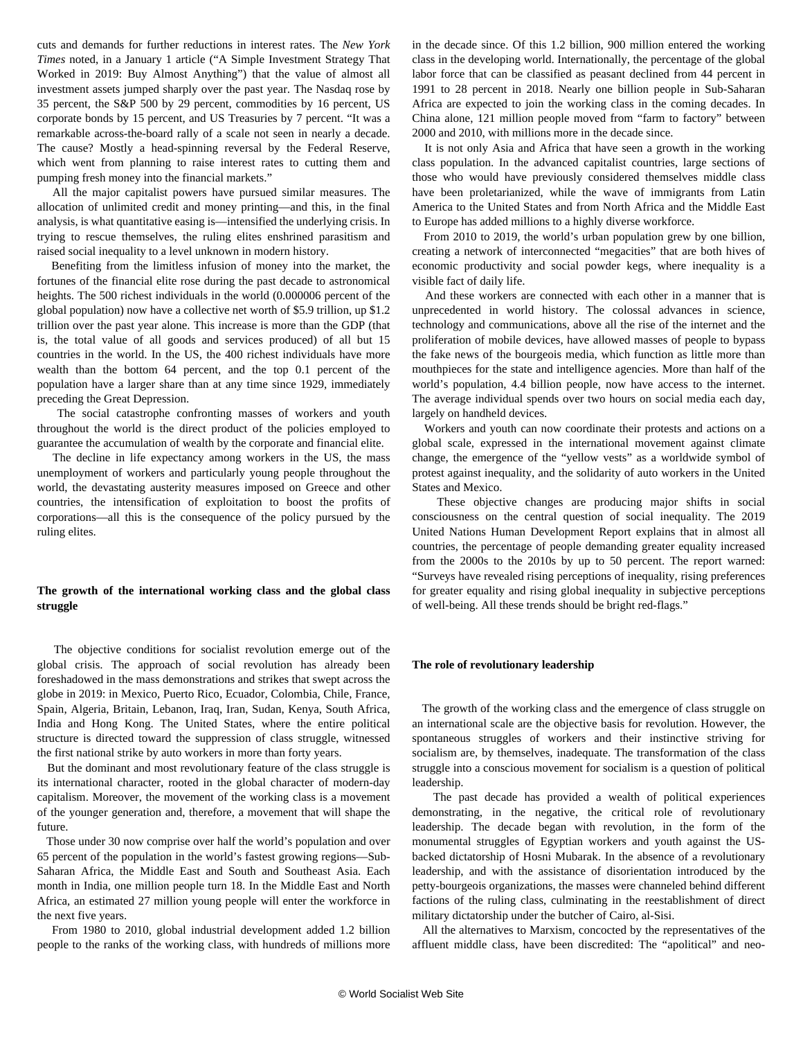cuts and demands for further reductions in interest rates. The *New York Times* noted, in a January 1 article ("A Simple Investment Strategy That Worked in 2019: Buy Almost Anything") that the value of almost all investment assets jumped sharply over the past year. The Nasdaq rose by 35 percent, the S&P 500 by 29 percent, commodities by 16 percent, US corporate bonds by 15 percent, and US Treasuries by 7 percent. "It was a remarkable across-the-board rally of a scale not seen in nearly a decade. The cause? Mostly a head-spinning reversal by the Federal Reserve, which went from planning to raise interest rates to cutting them and pumping fresh money into the financial markets."

 All the major capitalist powers have pursued similar measures. The allocation of unlimited credit and money printing—and this, in the final analysis, is what quantitative easing is—intensified the underlying crisis. In trying to rescue themselves, the ruling elites enshrined parasitism and raised social inequality to a level unknown in modern history.

 Benefiting from the limitless infusion of money into the market, the fortunes of the financial elite rose during the past decade to astronomical heights. The 500 richest individuals in the world (0.000006 percent of the global population) now have a collective net worth of \$5.9 trillion, up \$1.2 trillion over the past year alone. This increase is more than the GDP (that is, the total value of all goods and services produced) of all but 15 countries in the world. In the US, the 400 richest individuals have more wealth than the bottom 64 percent, and the top 0.1 percent of the population have a larger share than at any time since 1929, immediately preceding the Great Depression.

 The social catastrophe confronting masses of workers and youth throughout the world is the direct product of the policies employed to guarantee the accumulation of wealth by the corporate and financial elite.

 The decline in life expectancy among workers in the US, the mass unemployment of workers and particularly young people throughout the world, the devastating austerity measures imposed on Greece and other countries, the intensification of exploitation to boost the profits of corporations—all this is the consequence of the policy pursued by the ruling elites.

## **The growth of the international working class and the global class struggle**

 The objective conditions for socialist revolution emerge out of the global crisis. The approach of social revolution has already been foreshadowed in the mass demonstrations and strikes that swept across the globe in 2019: in Mexico, Puerto Rico, Ecuador, Colombia, Chile, France, Spain, Algeria, Britain, Lebanon, Iraq, Iran, Sudan, Kenya, South Africa, India and Hong Kong. The United States, where the entire political structure is directed toward the suppression of class struggle, witnessed the first national strike by auto workers in more than forty years.

 But the dominant and most revolutionary feature of the class struggle is its international character, rooted in the global character of modern-day capitalism. Moreover, the movement of the working class is a movement of the younger generation and, therefore, a movement that will shape the future.

 Those under 30 now comprise over half the world's population and over 65 percent of the population in the world's fastest growing regions—Sub-Saharan Africa, the Middle East and South and Southeast Asia. Each month in India, one million people turn 18. In the Middle East and North Africa, an estimated 27 million young people will enter the workforce in the next five years.

 From 1980 to 2010, global industrial development added 1.2 billion people to the ranks of the working class, with hundreds of millions more in the decade since. Of this 1.2 billion, 900 million entered the working class in the developing world. Internationally, the percentage of the global labor force that can be classified as peasant declined from 44 percent in 1991 to 28 percent in 2018. Nearly one billion people in Sub-Saharan Africa are expected to join the working class in the coming decades. In China alone, 121 million people moved from "farm to factory" between 2000 and 2010, with millions more in the decade since.

 It is not only Asia and Africa that have seen a growth in the working class population. In the advanced capitalist countries, large sections of those who would have previously considered themselves middle class have been proletarianized, while the wave of immigrants from Latin America to the United States and from North Africa and the Middle East to Europe has added millions to a highly diverse workforce.

 From 2010 to 2019, the world's urban population grew by one billion, creating a network of interconnected "megacities" that are both hives of economic productivity and social powder kegs, where inequality is a visible fact of daily life.

 And these workers are connected with each other in a manner that is unprecedented in world history. The colossal advances in science, technology and communications, above all the rise of the internet and the proliferation of mobile devices, have allowed masses of people to bypass the fake news of the bourgeois media, which function as little more than mouthpieces for the state and intelligence agencies. More than half of the world's population, 4.4 billion people, now have access to the internet. The average individual spends over two hours on social media each day, largely on handheld devices.

 Workers and youth can now coordinate their protests and actions on a global scale, expressed in the international movement against climate change, the emergence of the "yellow vests" as a worldwide symbol of protest against inequality, and the solidarity of auto workers in the United States and Mexico.

 These objective changes are producing major shifts in social consciousness on the central question of social inequality. The 2019 United Nations Human Development Report explains that in almost all countries, the percentage of people demanding greater equality increased from the 2000s to the 2010s by up to 50 percent. The report warned: "Surveys have revealed rising perceptions of inequality, rising preferences for greater equality and rising global inequality in subjective perceptions of well-being. All these trends should be bright red-flags."

## **The role of revolutionary leadership**

 The growth of the working class and the emergence of class struggle on an international scale are the objective basis for revolution. However, the spontaneous struggles of workers and their instinctive striving for socialism are, by themselves, inadequate. The transformation of the class struggle into a conscious movement for socialism is a question of political leadership.

 The past decade has provided a wealth of political experiences demonstrating, in the negative, the critical role of revolutionary leadership. The decade began with revolution, in the form of the monumental struggles of Egyptian workers and youth against the USbacked dictatorship of Hosni Mubarak. In the absence of a revolutionary leadership, and with the assistance of disorientation introduced by the petty-bourgeois organizations, the masses were channeled behind different factions of the ruling class, culminating in the reestablishment of direct military dictatorship under the butcher of Cairo, al-Sisi.

 All the alternatives to Marxism, concocted by the representatives of the affluent middle class, have been discredited: The "apolitical" and neo